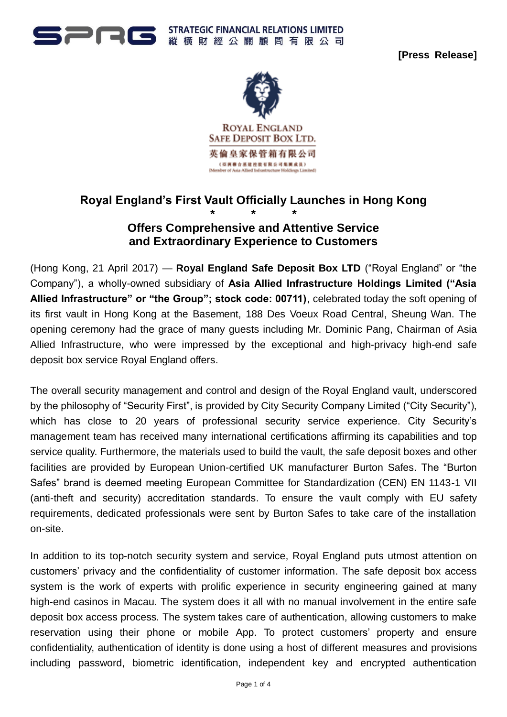

**[Press Release]**



# **Royal England's First Vault Officially Launches in Hong Kong**

# **\* \* \* Offers Comprehensive and Attentive Service and Extraordinary Experience to Customers**

(Hong Kong, 21 April 2017) — **Royal England Safe Deposit Box LTD** ("Royal England" or "the Company"), a wholly-owned subsidiary of **Asia Allied Infrastructure Holdings Limited ("Asia Allied Infrastructure" or "the Group"; stock code: 00711)**, celebrated today the soft opening of its first vault in Hong Kong at the Basement, 188 Des Voeux Road Central, Sheung Wan. The opening ceremony had the grace of many guests including Mr. Dominic Pang, Chairman of Asia Allied Infrastructure, who were impressed by the exceptional and high-privacy high-end safe deposit box service Royal England offers.

The overall security management and control and design of the Royal England vault, underscored by the philosophy of "Security First", is provided by City Security Company Limited ("City Security"), which has close to 20 years of professional security service experience. City Security's management team has received many international certifications affirming its capabilities and top service quality. Furthermore, the materials used to build the vault, the safe deposit boxes and other facilities are provided by European Union-certified UK manufacturer Burton Safes. The "Burton Safes" brand is deemed meeting European Committee for Standardization (CEN) EN 1143-1 VII (anti-theft and security) accreditation standards. To ensure the vault comply with EU safety requirements, dedicated professionals were sent by Burton Safes to take care of the installation on-site.

In addition to its top-notch security system and service, Royal England puts utmost attention on customers' privacy and the confidentiality of customer information. The safe deposit box access system is the work of experts with prolific experience in security engineering gained at many high-end casinos in Macau. The system does it all with no manual involvement in the entire safe deposit box access process. The system takes care of authentication, allowing customers to make reservation using their phone or mobile App. To protect customers' property and ensure confidentiality, authentication of identity is done using a host of different measures and provisions including password, biometric identification, independent key and encrypted authentication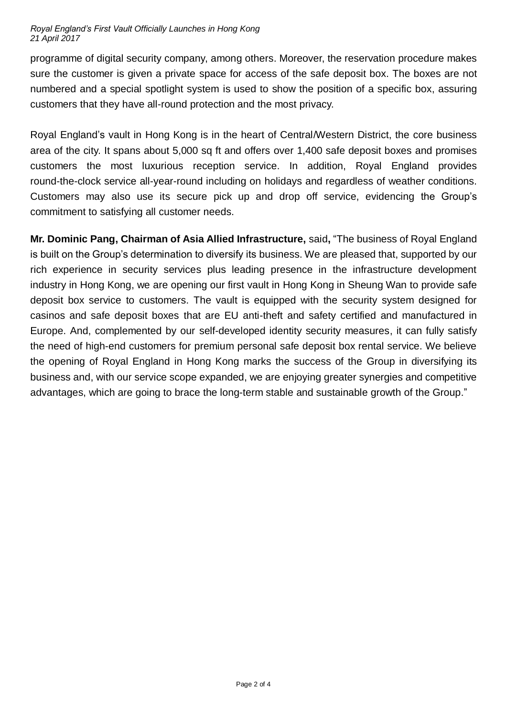#### *Royal England's First Vault Officially Launches in Hong Kong 21 April 2017*

programme of digital security company, among others. Moreover, the reservation procedure makes sure the customer is given a private space for access of the safe deposit box. The boxes are not numbered and a special spotlight system is used to show the position of a specific box, assuring customers that they have all-round protection and the most privacy.

Royal England's vault in Hong Kong is in the heart of Central/Western District, the core business area of the city. It spans about 5,000 sq ft and offers over 1,400 safe deposit boxes and promises customers the most luxurious reception service. In addition, Royal England provides round-the-clock service all-year-round including on holidays and regardless of weather conditions. Customers may also use its secure pick up and drop off service, evidencing the Group's commitment to satisfying all customer needs.

**Mr. Dominic Pang, Chairman of Asia Allied Infrastructure,** said**,** "The business of Royal England is built on the Group's determination to diversify its business. We are pleased that, supported by our rich experience in security services plus leading presence in the infrastructure development industry in Hong Kong, we are opening our first vault in Hong Kong in Sheung Wan to provide safe deposit box service to customers. The vault is equipped with the security system designed for casinos and safe deposit boxes that are EU anti-theft and safety certified and manufactured in Europe. And, complemented by our self-developed identity security measures, it can fully satisfy the need of high-end customers for premium personal safe deposit box rental service. We believe the opening of Royal England in Hong Kong marks the success of the Group in diversifying its business and, with our service scope expanded, we are enjoying greater synergies and competitive advantages, which are going to brace the long-term stable and sustainable growth of the Group."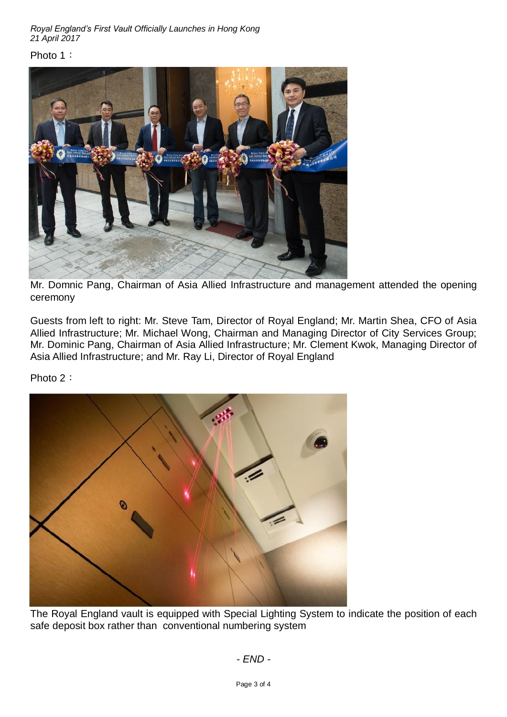*Royal England's First Vault Officially Launches in Hong Kong 21 April 2017*

#### Photo 1:



Mr. Domnic Pang, Chairman of Asia Allied Infrastructure and management attended the opening ceremony

Guests from left to right: Mr. Steve Tam, Director of Royal England; Mr. Martin Shea, CFO of Asia Allied Infrastructure; Mr. Michael Wong, Chairman and Managing Director of City Services Group; Mr. Dominic Pang, Chairman of Asia Allied Infrastructure; Mr. Clement Kwok, Managing Director of Asia Allied Infrastructure; and Mr. Ray Li, Director of Royal England

Photo 2:



The Royal England vault is equipped with Special Lighting System to indicate the position of each safe deposit box rather than conventional numbering system